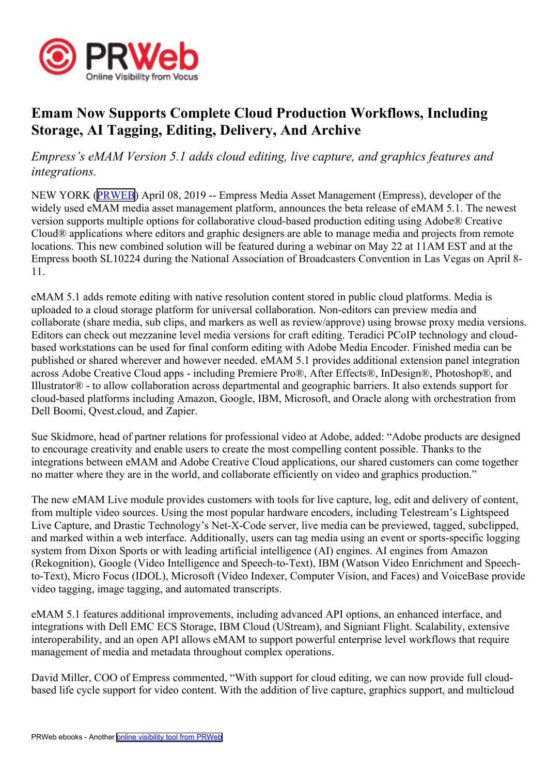

## **Emam Now Supports Complete Cloud Production Workflows, Including Storage, AI Tagging, Editing, Delivery, And Archive**

*Empress's eMAM Version 5.1 adds cloud editing, live capture, and graphics features and integrations.*

NEW YORK [\(PRWEB\)](http://www.prweb.com) April 08, 2019 -- Empress Media Asset Management (Empress), developer of the widely used eMAM media asset managemen<sup>t</sup> platform, announces the beta release of eMAM 5.1. The newest version supports multiple options for collaborative cloud-based production editing using Adobe® Creative Cloud® applications where editors and graphic designers are able to manage media and projects from remote locations. This new combined solution will be featured during <sup>a</sup> webinar on May 22 at 11AM EST and at the Empress booth SL10224 during the National Association of Broadcasters Convention in Las Vegas on April 8- 11.

eMAM 5.1 adds remote editing with native resolution content stored in public cloud platforms. Media is uploaded to <sup>a</sup> cloud storage platform for universal collaboration. Non-editors can preview media and collaborate (share media, sub clips, and markers as well as review/approve) using browse proxy media versions. Editors can check out mezzanine level media versions for craft editing. Teradici PCoIP technology and cloudbased workstations can be used for final conform editing with Adobe Media Encoder. Finished media can be published or shared wherever and however needed. eMAM 5.1 provides additional extension panel integration across Adobe Creative Cloud apps - including Premiere Pro®, After Effects®, InDesign®, Photoshop®, and Illustrator® - to allow collaboration across departmental and geographic barriers. It also extends suppor<sup>t</sup> for cloud-based platforms including Amazon, Google, IBM, Microsoft, and Oracle along with orchestration from Dell Boomi, Qvest.cloud, and Zapier.

Sue Skidmore, head of partner relations for professional video at Adobe, added: "Adobe products are designed to encourage creativity and enable users to create the most compelling content possible. Thanks to the integrations between eMAM and Adobe Creative Cloud applications, our shared customers can come together no matter where they are in the world, and collaborate efficiently on video and graphics production."

The new eMAM Live module provides customers with tools for live capture, log, edit and delivery of content, from multiple video sources. Using the most popular hardware encoders, including Telestream's Lightspeed Live Capture, and Drastic Technology's Net-X-Code server, live media can be previewed, tagged, subclipped, and marked within <sup>a</sup> web interface. Additionally, users can tag media using an event or sports-specific logging system from Dixon Sports or with leading artificial intelligence (AI) engines. AI engines from Amazon (Rekognition), Google (Video Intelligence and Speech-to-Text), IBM (Watson Video Enrichment and Speechto-Text), Micro Focus (IDOL), Microsoft (Video Indexer, Computer Vision, and Faces) and VoiceBase provide video tagging, image tagging, and automated transcripts.

eMAM 5.1 features additional improvements, including advanced API options, an enhanced interface, and integrations with Dell EMC ECS Storage, IBM Cloud (UStream), and Signiant Flight. Scalability, extensive interoperability, and an open API allows eMAM to suppor<sup>t</sup> powerful enterprise level workflows that require managemen<sup>t</sup> of media and metadata throughout complex operations.

David Miller, COO of Empress commented, "With suppor<sup>t</sup> for cloud editing, we can now provide full cloudbased life cycle suppor<sup>t</sup> for video content. With the addition of live capture, graphics support, and multicloud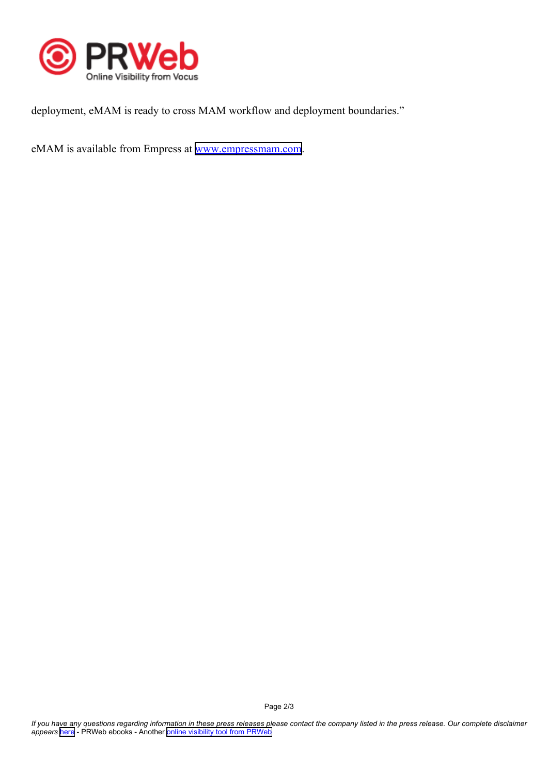

deployment, eMAM is ready to cross MAM workflow and deployment boundaries."

eMAM is available from Empress at [www.empressmam.com](http://www.empressmam.com).